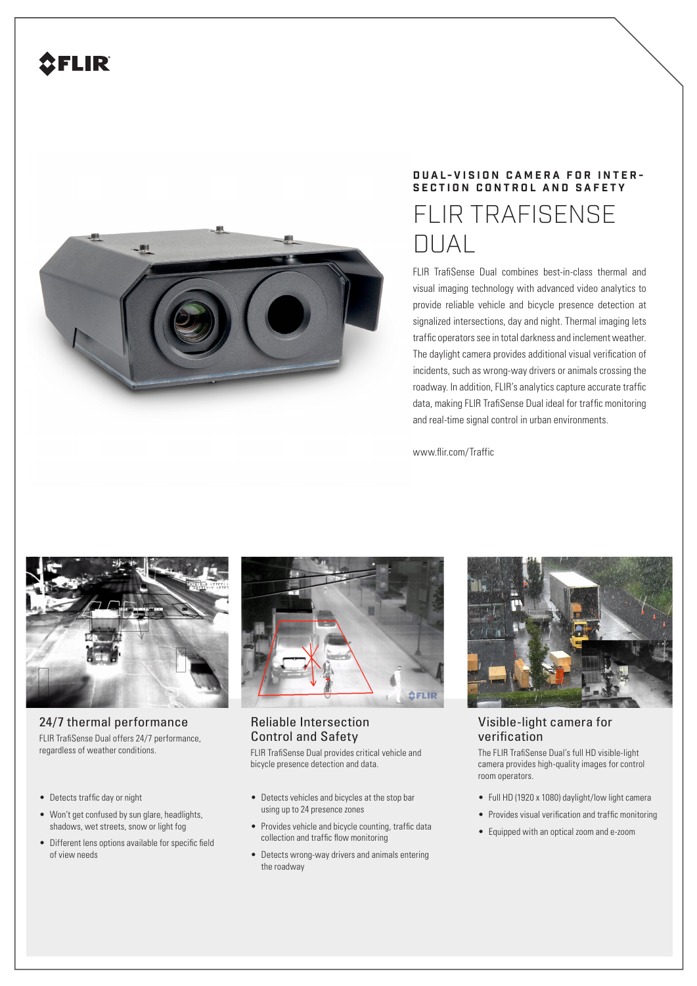

## **DUAL-VISION CAMERA FOR INTER - SECTION CONTROL AND SAFETY** FLIR TRAFISENSE DUAL

FLIR TrafiSense Dual combines best-in-class thermal and visual imaging technology with advanced video analytics to provide reliable vehicle and bicycle presence detection at signalized intersections, day and night. Thermal imaging lets traffic operators see in total darkness and inclement weather. The daylight camera provides additional visual verification of incidents, such as wrong-way drivers or animals crossing the roadway. In addition, FLIR's analytics capture accurate traffic data, making FLIR TrafiSense Dual ideal for traffic monitoring and real-time signal control in urban environments.

www.flir.com/Traffic



24/7 thermal performance FLIR TrafiSense Dual offers 24/7 performance, regardless of weather conditions.

- Detects traffic day or night
- Won't get confused by sun glare, headlights, shadows, wet streets, snow or light fog
- Different lens options available for specific field of view needs



## Reliable Intersection Control and Safety

FLIR TrafiSense Dual provides critical vehicle and bicycle presence detection and data.

- Detects vehicles and bicycles at the stop bar using up to 24 presence zones
- Provides vehicle and bicycle counting, traffic data collection and traffic flow monitoring
- Detects wrong-way drivers and animals entering the roadway



Visible-light camera for verification

The FLIR TrafiSense Dual's full HD visible-light camera provides high-quality images for control room operators.

- Full HD (1920 x 1080) daylight/low light camera
- Provides visual verification and traffic monitoring
- Equipped with an optical zoom and e-zoom